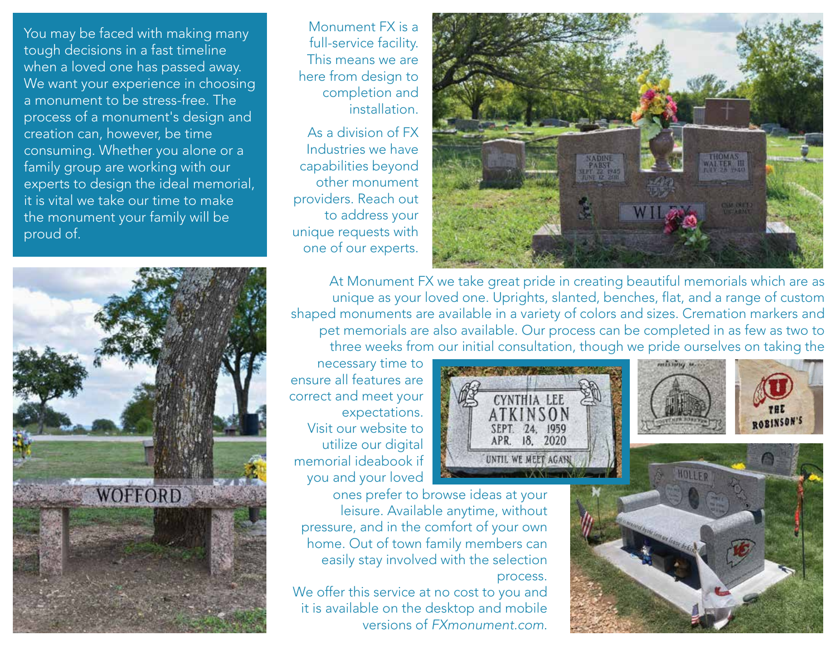You may be faced with making many tough decisions in a fast timeline when a loved one has passed away. We want your experience in choosing a monument to be stress-free. The process of a monument's design and creation can, however, be time consuming. Whether you alone or a family group are working with our experts to design the ideal memorial, it is vital we take our time to make the monument your family will be proud of.



Monument FX is a full-service facility. This means we are here from design to completion and installation.

As a division of FX Industries we have capabilities beyond other monument providers. Reach out to address your unique requests with one of our experts.



At Monument FX we take great pride in creating beautiful memorials which are as unique as your loved one. Uprights, slanted, benches, flat, and a range of custom shaped monuments are available in a variety of colors and sizes. Cremation markers and pet memorials are also available. Our process can be completed in as few as two to three weeks from our initial consultation, though we pride ourselves on taking the

necessary time to ensure all features are correct and meet your expectations. Visit our website to utilize our digital memorial ideabook if you and your loved



ones prefer to browse ideas at your leisure. Available anytime, without pressure, and in the comfort of your own home. Out of town family members can easily stay involved with the selection process.

We offer this service at no cost to you and it is available on the desktop and mobile versions of *FXmonument.com*.